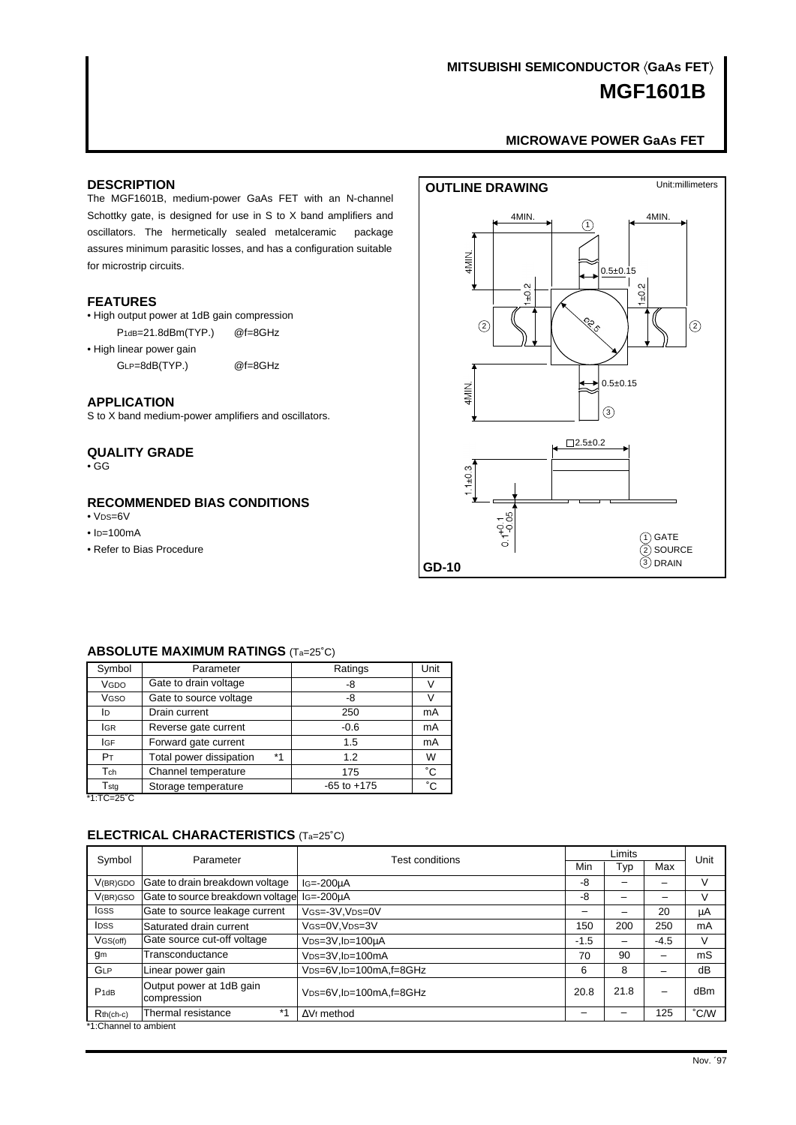# **MGF1601B MITSUBISHI SEMICONDUCTOR (GaAs FET)**

#### **[MICROWAVE POWER GaAs FET](#page-6-0)**

#### <span id="page-0-0"></span>**DESCRIPTION**

The MGF1601B, medium-power GaAs FET with an N-channel Schottky gate, is designed for use in S to X band amplifiers and oscillators. The hermetically sealed metalceramic package assures minimum parasitic losses, and has a configuration suitable for microstrip circuits.

#### **FEATURES**

• High output power at 1dB gain compression P<sub>1dB=21.8dBm</sub>(TYP.) @f=8GHz

• High linear power gain

GLP=8dB(TYP.) @f=8GHz

#### **APPLICATION**

S to X band medium-power amplifiers and oscillators.

## **QUALITY GRADE**

• GG

## **RECOMMENDED BIAS CONDITIONS**

- $\cdot$  V<sub>DS=6</sub>V
- $\cdot$  ID=100mA
- Refer to Bias Procedure



#### **ABSOLUTE MAXIMUM RATINGS** (Ta=25˚C)

| Symbol          | Parameter               |    | Ratings         | Unit |
|-----------------|-------------------------|----|-----------------|------|
| VGDO            | Gate to drain voltage   |    | -8              | V    |
| Vgso            | Gate to source voltage  |    | -8              | V    |
| ID              | Drain current           |    | 250             | mA   |
| <b>IGR</b>      | Reverse gate current    |    | $-0.6$          | mA   |
| <b>IGF</b>      | Forward gate current    |    | 1.5             | mA   |
| PT              | Total power dissipation | *1 | 1.2             | W    |
| Tch             | Channel temperature     |    | 175             | °С   |
| Tstg<br>$T = T$ | Storage temperature     |    | $-65$ to $+175$ | °C   |

\*1:TC=25˚C

## **ELECTRICAL CHARACTERISTICS** (Ta=25˚C)

| Symbol                | Parameter                               | Test conditions                                  | Limits |      |        | Unit |  |  |
|-----------------------|-----------------------------------------|--------------------------------------------------|--------|------|--------|------|--|--|
|                       |                                         |                                                  |        | Typ  | Max    |      |  |  |
| V(BR)GDO              | Gate to drain breakdown voltage         | $Is = -200uA$                                    | -8     |      |        | V    |  |  |
| V <sub>(BR)</sub> GSO | Gate to source breakdown voltage        | $IG = -200 \mu A$                                | -8     |      |        | ν    |  |  |
| <b>IGSS</b>           | Gate to source leakage current          | VGS=-3V.VDS=0V                                   |        |      | 20     | μA   |  |  |
| <b>IDSS</b>           | Saturated drain current                 | VGS=0V.VDS=3V                                    | 150    | 200  | 250    | mA   |  |  |
| VGS(off)              | Gate source cut-off voltage             | VDS=3V,ID=100µA                                  | $-1.5$ |      | $-4.5$ | V    |  |  |
| gm                    | Transconductance                        | V <sub>DS=3</sub> V.I <sub>D=100</sub> mA        | 70     | 90   | -      | mS   |  |  |
| GLP                   | Linear power gain                       | V <sub>DS=6</sub> V.I <sub>D=100</sub> mA.f=8GHz | 6      | 8    |        | dB   |  |  |
| $P_1$ dB              | Output power at 1dB gain<br>compression | V <sub>DS=6</sub> V.I <sub>D=100</sub> mA.f=8GHz | 20.8   | 21.8 |        | dBm  |  |  |
| $Rth(ch-c)$           | $*1$<br>Thermal resistance              | V <sub>f</sub> method                            |        |      | 125    | °C/W |  |  |
| *1:Channel to ambient |                                         |                                                  |        |      |        |      |  |  |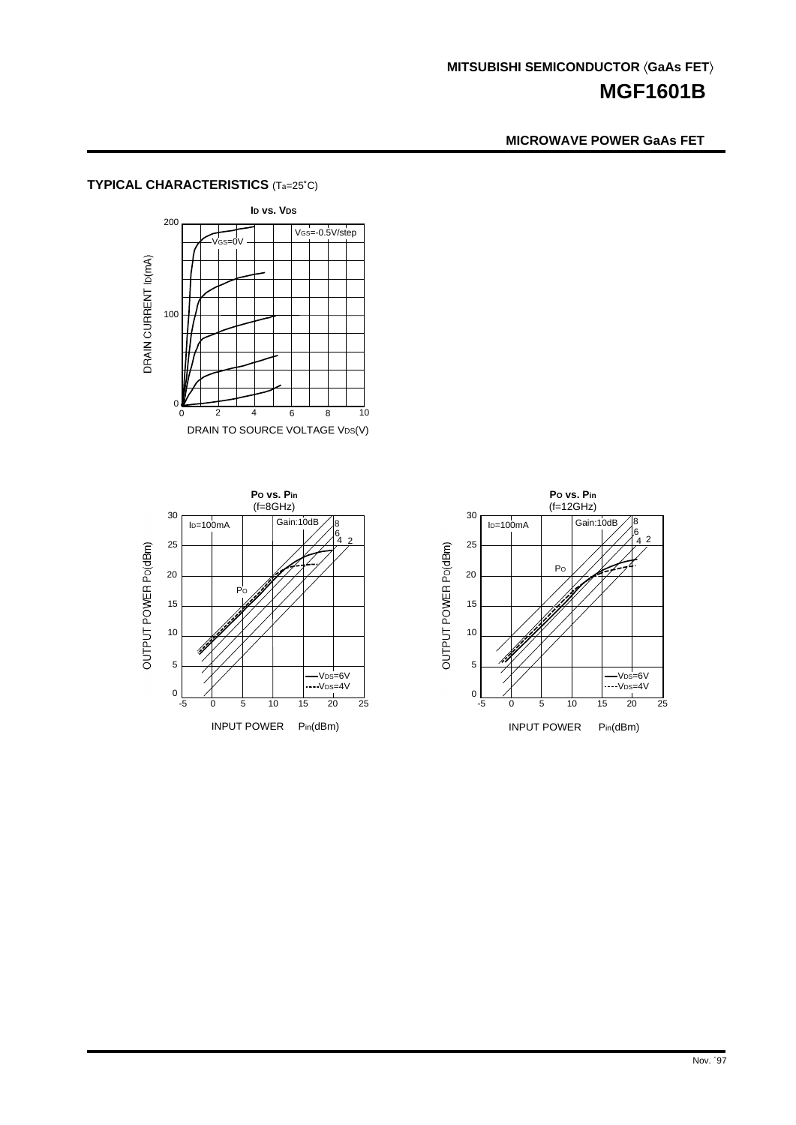